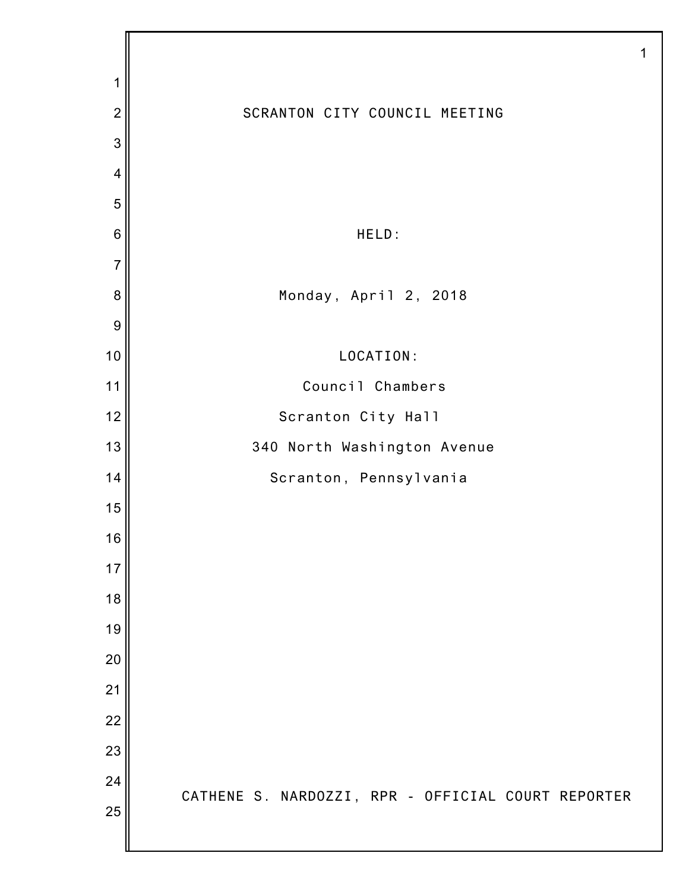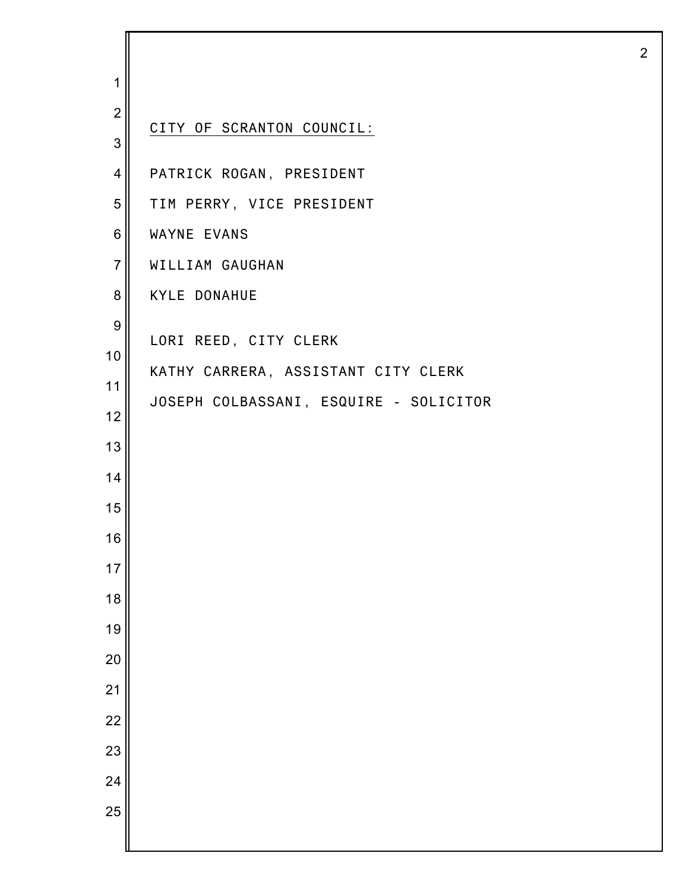| 1                |                                        |
|------------------|----------------------------------------|
| $\overline{2}$   |                                        |
| 3                | CITY OF SCRANTON COUNCIL:              |
| $\overline{4}$   | PATRICK ROGAN, PRESIDENT               |
| 5                | TIM PERRY, VICE PRESIDENT              |
| 6                | WAYNE EVANS                            |
| $\overline{7}$   | WILLIAM GAUGHAN                        |
| 8                | <b>KYLE DONAHUE</b>                    |
| $\boldsymbol{9}$ | LORI REED, CITY CLERK                  |
| 10               | KATHY CARRERA, ASSISTANT CITY CLERK    |
| 11               | JOSEPH COLBASSANI, ESQUIRE - SOLICITOR |
| 12               |                                        |
| 13               |                                        |
| 14               |                                        |
| 15               |                                        |
| 16               |                                        |
| 17               |                                        |
| 18               |                                        |
| 19               |                                        |
| 20               |                                        |
| 21               |                                        |
| 22<br>23         |                                        |
| 24               |                                        |
| 25               |                                        |
|                  |                                        |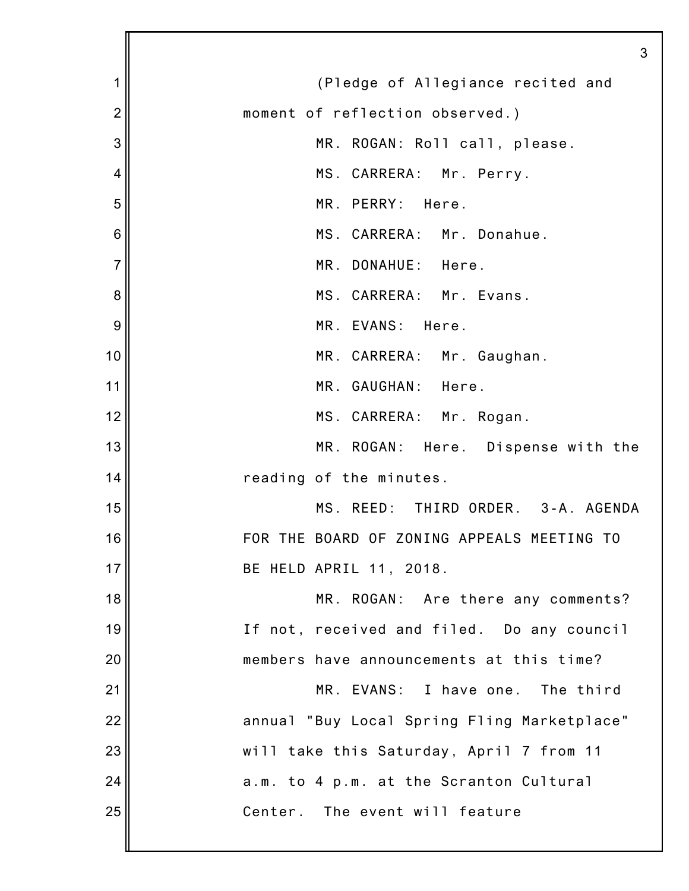|                | 3                                           |
|----------------|---------------------------------------------|
| 1              | (Pledge of Allegiance recited and           |
| $\overline{2}$ | moment of reflection observed.)             |
| 3              | MR. ROGAN: Roll call, please.               |
| 4              | MS. CARRERA: Mr. Perry.                     |
| 5              | MR. PERRY: Here.                            |
| 6              | MS. CARRERA: Mr. Donahue.                   |
| $\overline{7}$ | MR. DONAHUE: Here.                          |
| 8              | MS. CARRERA: Mr. Evans.                     |
| 9              | MR. EVANS: Here.                            |
| 10             | MR. CARRERA: Mr. Gaughan.                   |
| 11             | MR. GAUGHAN: Here.                          |
| 12             | MS. CARRERA: Mr. Rogan.                     |
| 13             | MR. ROGAN: Here. Dispense with the          |
| 14             | reading of the minutes.                     |
| 15             | MS. REED: THIRD ORDER. 3-A. AGENDA          |
| 16             | FOR THE BOARD OF ZONING APPEALS MEETING TO  |
| 17             | BE HELD APRIL 11, 2018.                     |
| 18             | MR. ROGAN: Are there any comments?          |
| 19             | If not, received and filed. Do any council  |
| 20             | members have announcements at this time?    |
| 21             | MR. EVANS: I have one. The third            |
| 22             | annual "Buy Local Spring Fling Marketplace" |
| 23             | will take this Saturday, April 7 from 11    |
| 24             | a.m. to 4 p.m. at the Scranton Cultural     |
| 25             | Center. The event will feature              |
|                |                                             |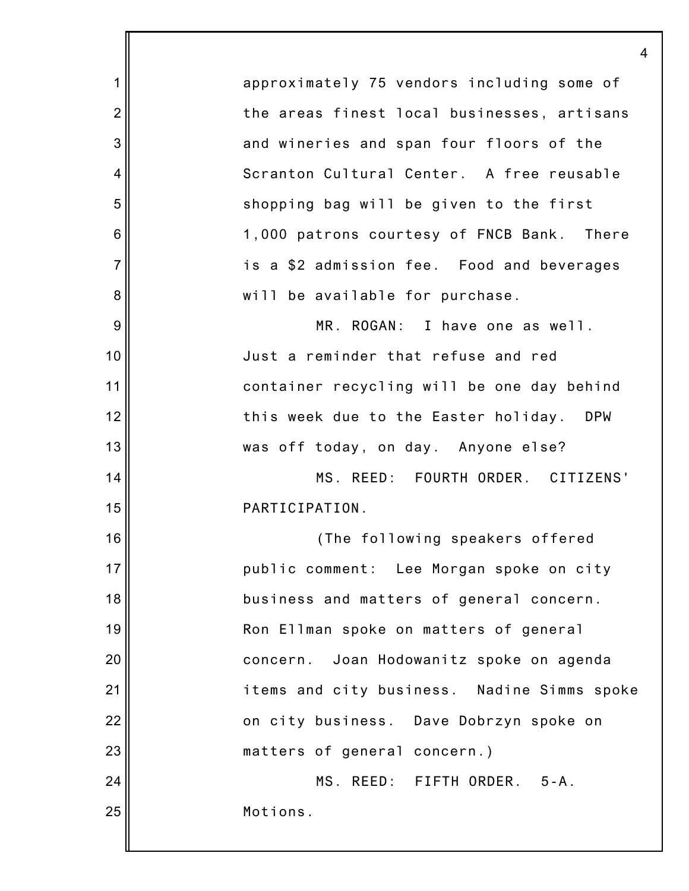1 2 3 4 5 6 7 8 9 10 11 12 13 14 15 16 17 18 19 20 21 22 23 24 25 approximately 75 vendors including some of the areas finest local businesses, artisans and wineries and span four floors of the Scranton Cultural Center. A free reusable shopping bag will be given to the first 1,000 patrons courtesy of FNCB Bank. There is a \$2 admission fee. Food and beverages will be available for purchase. MR. ROGAN: I have one as well. Just a reminder that refuse and red container recycling will be one day behind this week due to the Easter holiday. DPW was off today, on day. Anyone else? MS. REED: FOURTH ORDER. CITIZENS' PARTICIPATION. (The following speakers offered public comment: Lee Morgan spoke on city business and matters of general concern. Ron Ellman spoke on matters of general concern. Joan Hodowanitz spoke on agenda items and city business. Nadine Simms spoke on city business. Dave Dobrzyn spoke on matters of general concern.) MS. REED: FIFTH ORDER. 5-A. Motions.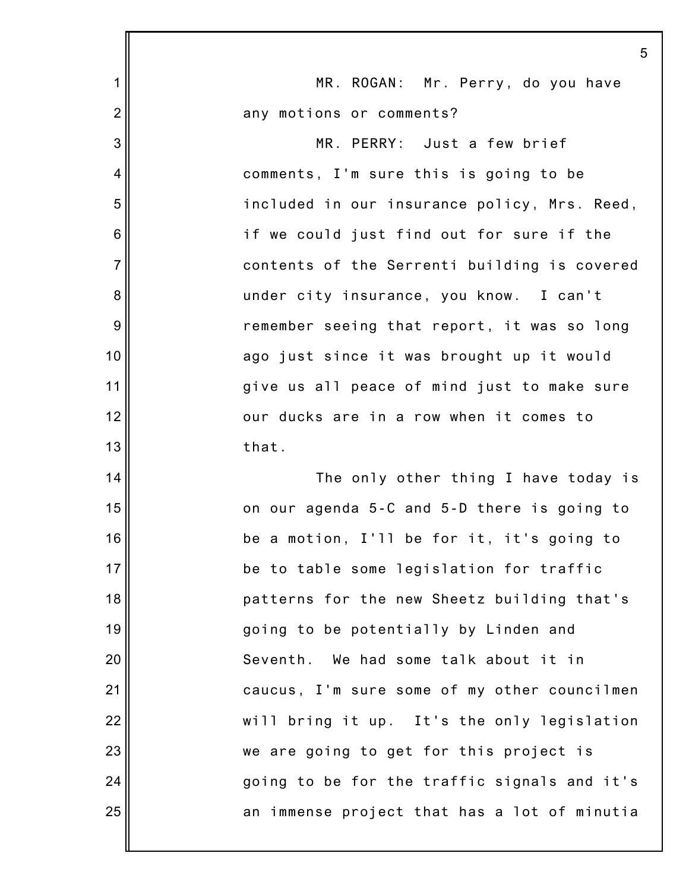|                | 5                                            |
|----------------|----------------------------------------------|
| 1              | MR. ROGAN: Mr. Perry, do you have            |
| $\overline{2}$ | any motions or comments?                     |
| 3              | MR. PERRY: Just a few brief                  |
| 4              | comments, I'm sure this is going to be       |
| 5              | included in our insurance policy, Mrs. Reed, |
| 6              | if we could just find out for sure if the    |
| $\overline{7}$ | contents of the Serrenti building is covered |
| 8              | under city insurance, you know. I can't      |
| $9\,$          | remember seeing that report, it was so long  |
| 10             | ago just since it was brought up it would    |
| 11             | give us all peace of mind just to make sure  |
| 12             | our ducks are in a row when it comes to      |
| 13             | that.                                        |
| 14             | The only other thing I have today is         |
| 15             | on our agenda 5-C and 5-D there is going to  |
| 16             | be a motion, I'll be for it, it's going to   |
| 17             | be to table some legislation for traffic     |
| 18             | patterns for the new Sheetz building that's  |
| 19             | going to be potentially by Linden and        |
| 20             | Seventh.<br>We had some talk about it in     |
| 21             | caucus, I'm sure some of my other councilmen |
| 22             | will bring it up. It's the only legislation  |
| 23             | we are going to get for this project is      |
| 24             | going to be for the traffic signals and it's |
| 25             | an immense project that has a lot of minutia |
|                |                                              |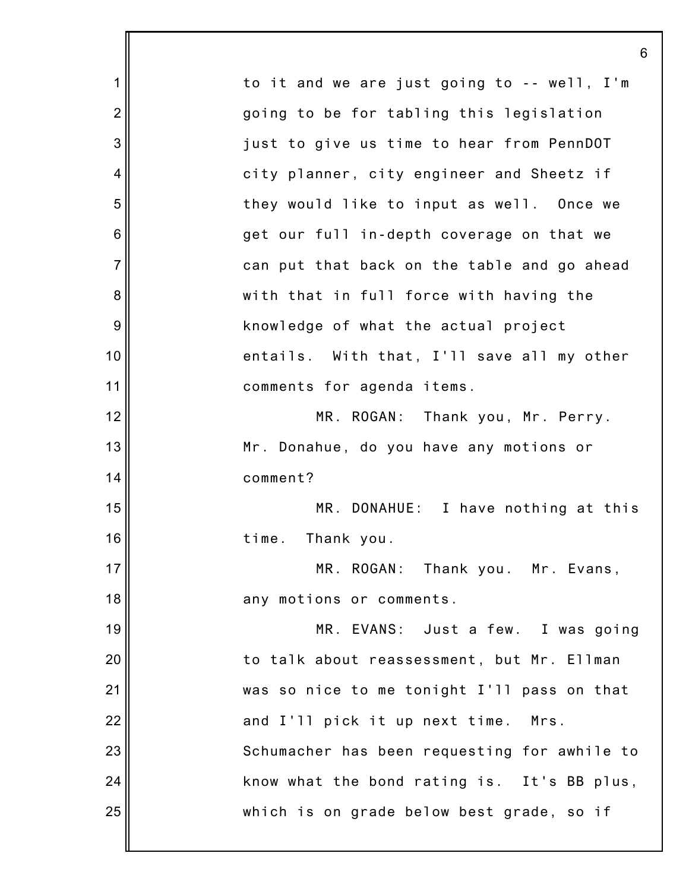|                | 6                                            |
|----------------|----------------------------------------------|
| 1              | to it and we are just going to -- well, I'm  |
| $\overline{2}$ | going to be for tabling this legislation     |
| 3              | just to give us time to hear from PennDOT    |
| $\overline{4}$ | city planner, city engineer and Sheetz if    |
| 5              | they would like to input as well. Once we    |
| 6              | get our full in-depth coverage on that we    |
| $\overline{7}$ | can put that back on the table and go ahead  |
| 8              | with that in full force with having the      |
| 9              | knowledge of what the actual project         |
| 10             | entails. With that, I'll save all my other   |
| 11             | comments for agenda items.                   |
| 12             | MR. ROGAN: Thank you, Mr. Perry.             |
| 13             | Mr. Donahue, do you have any motions or      |
| 14             | comment?                                     |
| 15             | MR. DONAHUE: I have nothing at this          |
| 16             | time. Thank you.                             |
| 17             | MR. ROGAN: Thank you. Mr. Evans,             |
| 18             | any motions or comments.                     |
| 19             | MR. EVANS: Just a few. I was going           |
| 20             | to talk about reassessment, but Mr. Ellman   |
| 21             | was so nice to me tonight I'll pass on that  |
| 22             | and I'll pick it up next time.<br>Mrs.       |
| 23             | Schumacher has been requesting for awhile to |
| 24             | know what the bond rating is. It's BB plus,  |
| 25             | which is on grade below best grade, so if    |
|                |                                              |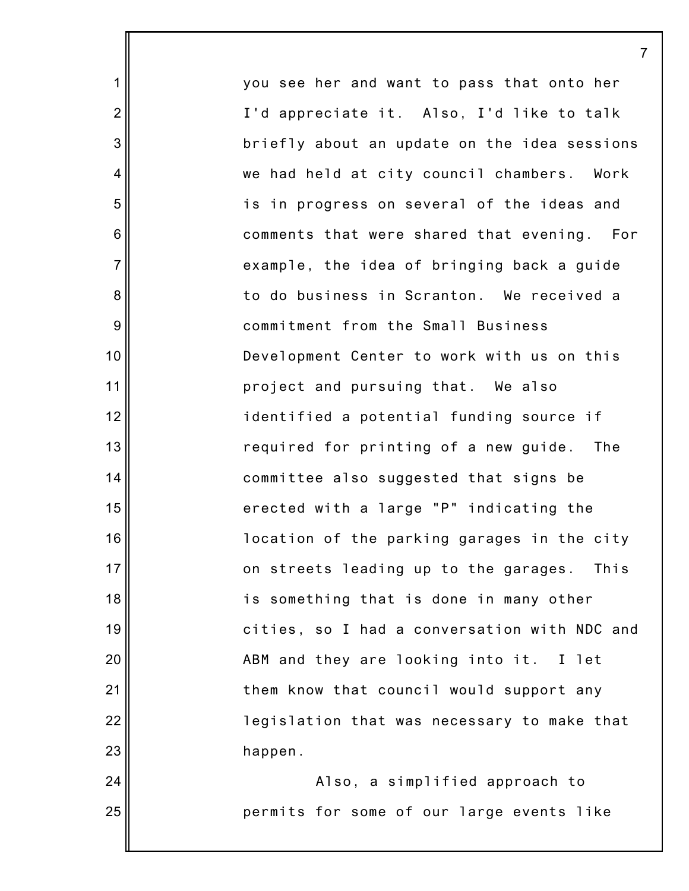you see her and want to pass that onto her I'd appreciate it. Also, I'd like to talk briefly about an update on the idea sessions we had held at city council chambers. Work is in progress on several of the ideas and comments that were shared that evening. For example, the idea of bringing back a guide to do business in Scranton. We received a commitment from the Small Business Development Center to work with us on this project and pursuing that. We also identified a potential funding source if required for printing of a new guide. The committee also suggested that signs be erected with a large "P" indicating the location of the parking garages in the city on streets leading up to the garages. This is something that is done in many other cities, so I had a conversation with NDC and ABM and they are looking into it. I let them know that council would support any legislation that was necessary to make that happen.

1

2

3

4

5

6

7

8

9

10

11

12

13

14

15

16

17

18

19

20

21

22

23

24

25

Also, a simplified approach to permits for some of our large events like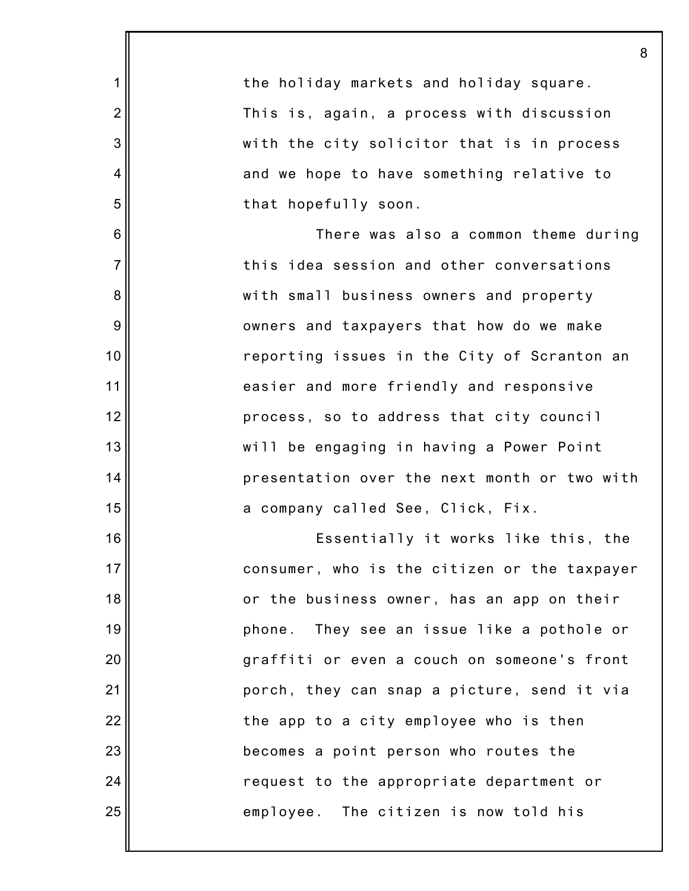|                | 8                                            |
|----------------|----------------------------------------------|
| 1              | the holiday markets and holiday square.      |
| $\overline{2}$ | This is, again, a process with discussion    |
| 3              | with the city solicitor that is in process   |
| $\overline{4}$ | and we hope to have something relative to    |
| 5              | that hopefully soon.                         |
| 6              | There was also a common theme during         |
| $\overline{7}$ | this idea session and other conversations    |
| 8              | with small business owners and property      |
| $9\,$          | owners and taxpayers that how do we make     |
| 10             | reporting issues in the City of Scranton an  |
| 11             | easier and more friendly and responsive      |
| 12             | process, so to address that city council     |
| 13             | will be engaging in having a Power Point     |
| 14             | presentation over the next month or two with |
| 15             | a company called See, Click, Fix.            |
| 16             | Essentially it works like this, the          |
| 17             | consumer, who is the citizen or the taxpayer |
| 18             | or the business owner, has an app on their   |
| 19             | phone. They see an issue like a pothole or   |
| 20             | graffiti or even a couch on someone's front  |
| 21             | porch, they can snap a picture, send it via  |
| 22             | the app to a city employee who is then       |
| 23             | becomes a point person who routes the        |
| 24             | request to the appropriate department or     |
| 25             | employee. The citizen is now told his        |
|                |                                              |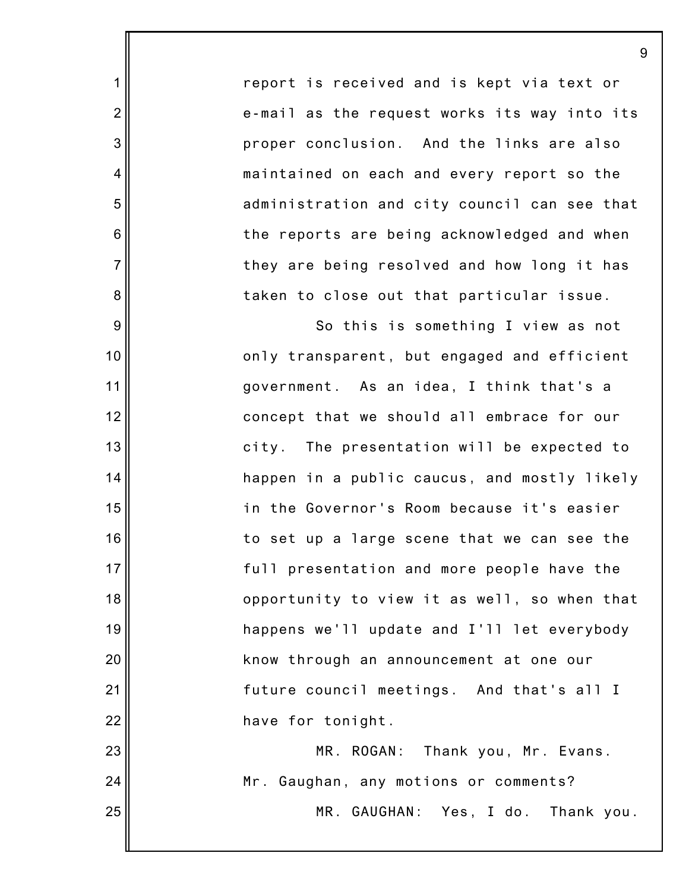report is received and is kept via text or e-mail as the request works its way into its proper conclusion. And the links are also maintained on each and every report so the administration and city council can see that the reports are being acknowledged and when they are being resolved and how long it has taken to close out that particular issue.

1

2

3

4

5

6

7

8

9

10

11

12

13

14

15

16

17

18

19

20

21

22

23

24

25

So this is something I view as not only transparent, but engaged and efficient government. As an idea, I think that's a concept that we should all embrace for our city. The presentation will be expected to happen in a public caucus, and mostly likely in the Governor's Room because it's easier to set up a large scene that we can see the full presentation and more people have the opportunity to view it as well, so when that happens we'll update and I'll let everybody know through an announcement at one our future council meetings. And that's all I have for tonight.

MR. ROGAN: Thank you, Mr. Evans. Mr. Gaughan, any motions or comments? MR. GAUGHAN: Yes, I do. Thank you.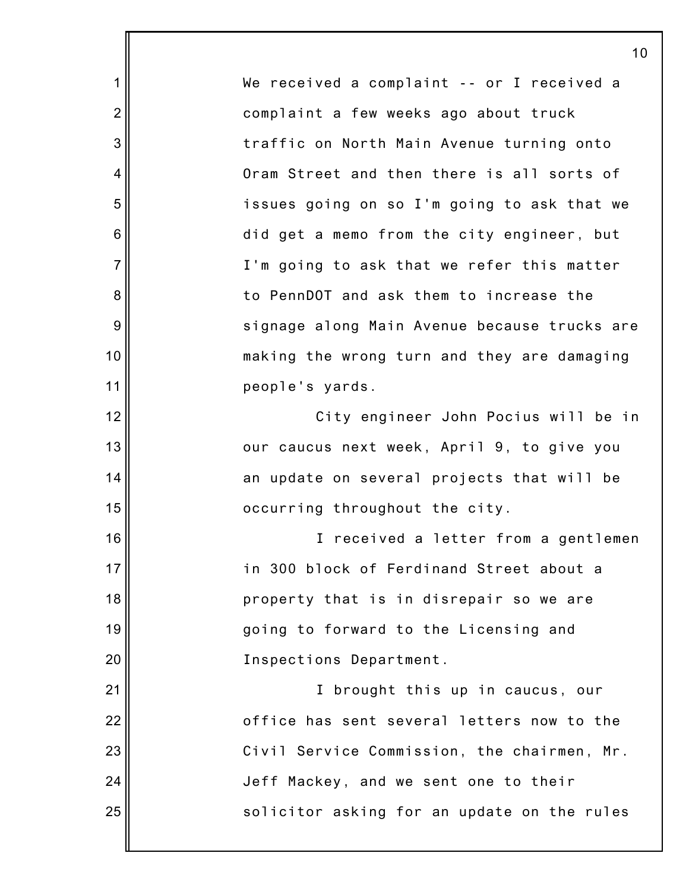We received a complaint -- or I received a complaint a few weeks ago about truck traffic on North Main Avenue turning onto Oram Street and then there is all sorts of issues going on so I'm going to ask that we did get a memo from the city engineer, but I'm going to ask that we refer this matter to PennDOT and ask them to increase the signage along Main Avenue because trucks are making the wrong turn and they are damaging people's yards. City engineer John Pocius will be in our caucus next week, April 9, to give you an update on several projects that will be occurring throughout the city. I received a letter from a gentlemen in 300 block of Ferdinand Street about a property that is in disrepair so we are

10

1

2

3

4

5

6

7

8

9

10

11

12

13

14

15

16

17

18

19

20

21

22

23

24

25

going to forward to the Licensing and Inspections Department.

I brought this up in caucus, our office has sent several letters now to the Civil Service Commission, the chairmen, Mr. Jeff Mackey, and we sent one to their solicitor asking for an update on the rules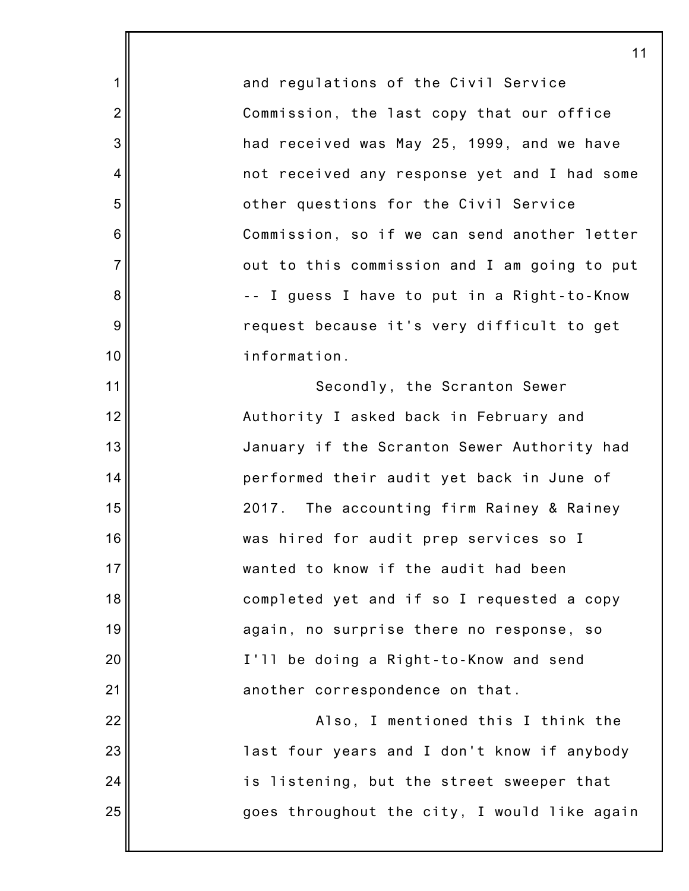and regulations of the Civil Service Commission, the last copy that our office had received was May 25, 1999, and we have not received any response yet and I had some other questions for the Civil Service Commission, so if we can send another letter out to this commission and I am going to put -- I guess I have to put in a Right-to-Know request because it's very difficult to get information.

1

2

3

4

5

6

7

8

9

10

11

12

13

14

15

16

17

18

19

20

21

22

23

24

25

Secondly, the Scranton Sewer Authority I asked back in February and January if the Scranton Sewer Authority had performed their audit yet back in June of 2017. The accounting firm Rainey & Rainey was hired for audit prep services so I wanted to know if the audit had been completed yet and if so I requested a copy again, no surprise there no response, so I'll be doing a Right-to-Know and send another correspondence on that.

Also, I mentioned this I think the last four years and I don't know if anybody is listening, but the street sweeper that goes throughout the city, I would like again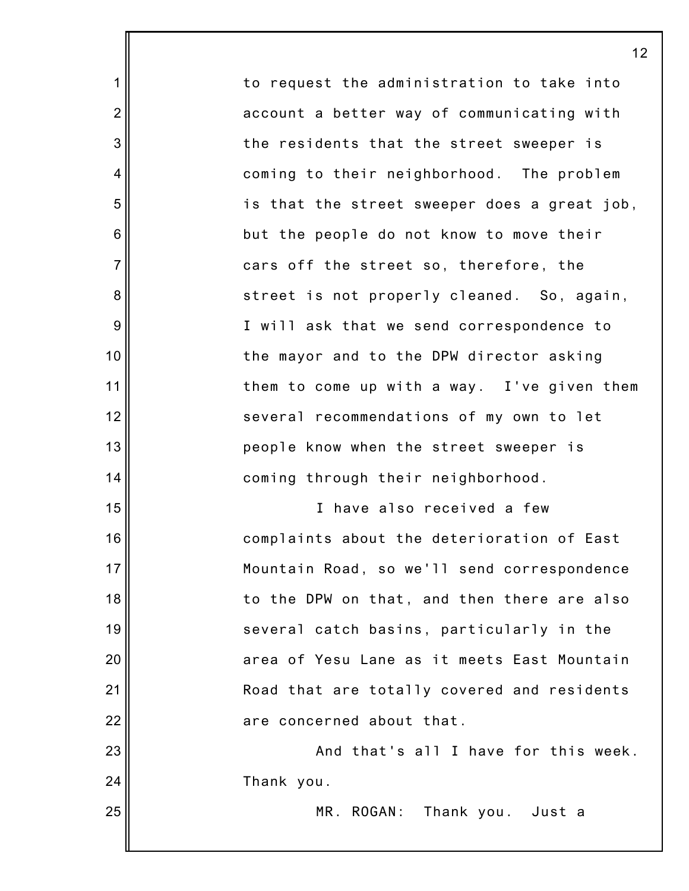to request the administration to take into account a better way of communicating with the residents that the street sweeper is coming to their neighborhood. The problem is that the street sweeper does a great job, but the people do not know to move their cars off the street so, therefore, the street is not properly cleaned. So, again, I will ask that we send correspondence to the mayor and to the DPW director asking them to come up with a way. I've given them several recommendations of my own to let people know when the street sweeper is coming through their neighborhood.

1

2

3

4

5

6

7

8

9

10

11

12

13

14

15

16

17

18

19

20

21

22

23

24

25

I have also received a few complaints about the deterioration of East Mountain Road, so we'll send correspondence to the DPW on that, and then there are also several catch basins, particularly in the area of Yesu Lane as it meets East Mountain Road that are totally covered and residents are concerned about that.

And that's all I have for this week. Thank you.

MR. ROGAN: Thank you. Just a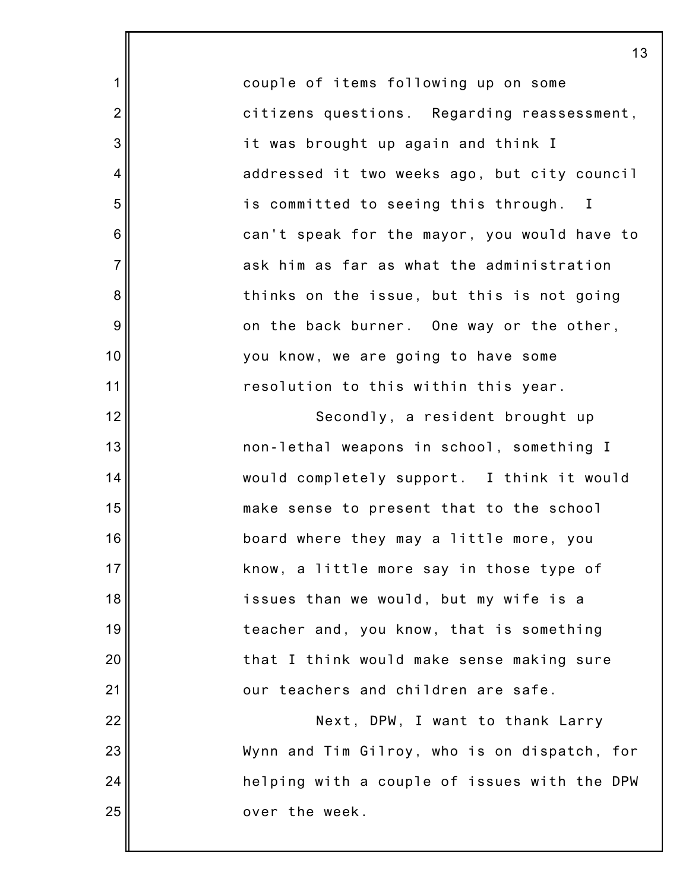couple of items following up on some citizens questions. Regarding reassessment, it was brought up again and think I addressed it two weeks ago, but city council is committed to seeing this through. I can't speak for the mayor, you would have to ask him as far as what the administration thinks on the issue, but this is not going on the back burner. One way or the other, you know, we are going to have some resolution to this within this year.

1

2

3

4

5

6

7

8

9

10

11

12

13

14

15

16

17

18

19

20

21

22

23

24

25

Secondly, a resident brought up non-lethal weapons in school, something I would completely support. I think it would make sense to present that to the school board where they may a little more, you know, a little more say in those type of issues than we would, but my wife is a teacher and, you know, that is something that I think would make sense making sure our teachers and children are safe.

Next, DPW, I want to thank Larry Wynn and Tim Gilroy, who is on dispatch, for helping with a couple of issues with the DPW over the week.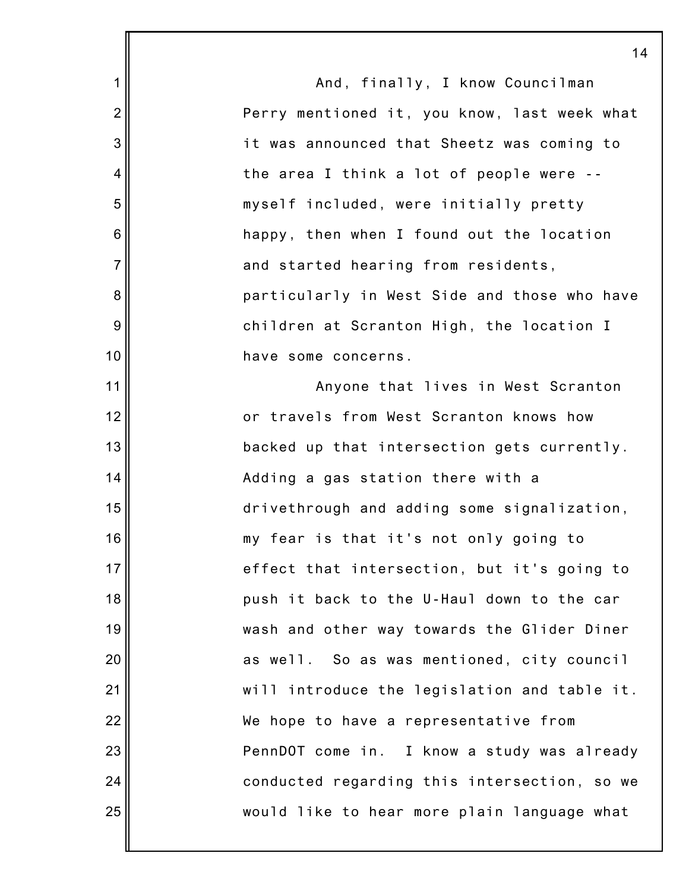1 2 3 4 5 6 7 8 9 10 11 12 13 14 15 16 17 18 19 20 21 22 23 24 25 And, finally, I know Councilman Perry mentioned it, you know, last week what it was announced that Sheetz was coming to the area I think a lot of people were - myself included, were initially pretty happy, then when I found out the location and started hearing from residents, particularly in West Side and those who have children at Scranton High, the location I have some concerns. Anyone that lives in West Scranton or travels from West Scranton knows how backed up that intersection gets currently. Adding a gas station there with a drivethrough and adding some signalization, my fear is that it's not only going to effect that intersection, but it's going to push it back to the U-Haul down to the car wash and other way towards the Glider Diner as well. So as was mentioned, city council will introduce the legislation and table it. We hope to have a representative from PennDOT come in. I know a study was already conducted regarding this intersection, so we would like to hear more plain language what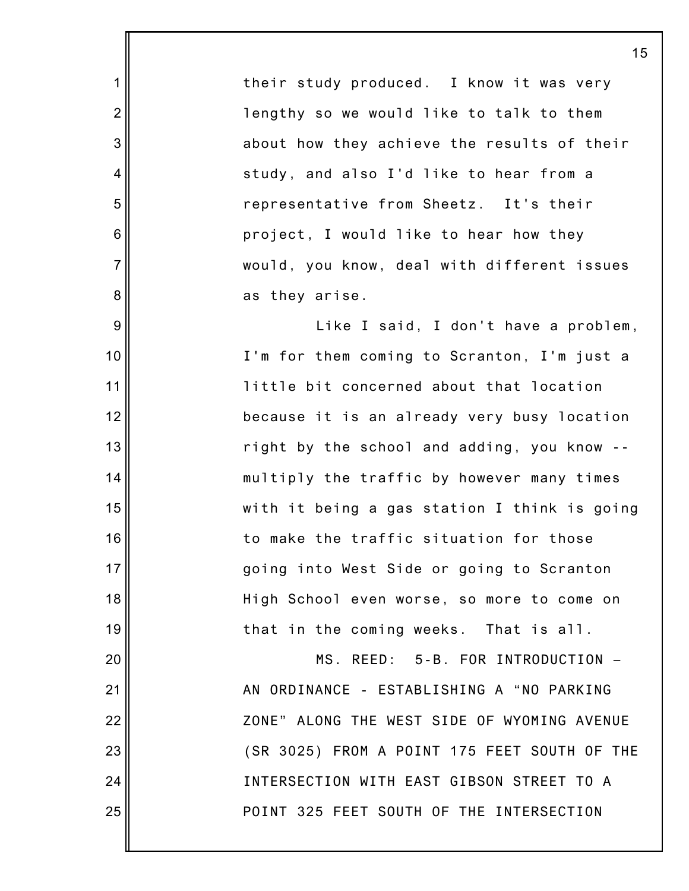their study produced. I know it was very lengthy so we would like to talk to them about how they achieve the results of their study, and also I'd like to hear from a representative from Sheetz. It's their project, I would like to hear how they would, you know, deal with different issues as they arise.

1

2

3

4

5

6

7

8

9

10

11

12

13

14

15

16

17

18

19

20

21

22

23

24

25

Like I said, I don't have a problem, I'm for them coming to Scranton, I'm just a little bit concerned about that location because it is an already very busy location right by the school and adding, you know - multiply the traffic by however many times with it being a gas station I think is going to make the traffic situation for those going into West Side or going to Scranton High School even worse, so more to come on that in the coming weeks. That is all.

MS. REED: 5-B. FOR INTRODUCTION – AN ORDINANCE - ESTABLISHING A "NO PARKING ZONE" ALONG THE WEST SIDE OF WYOMING AVENUE (SR 3025) FROM A POINT 175 FEET SOUTH OF THE INTERSECTION WITH EAST GIBSON STREET TO A POINT 325 FEET SOUTH OF THE INTERSECTION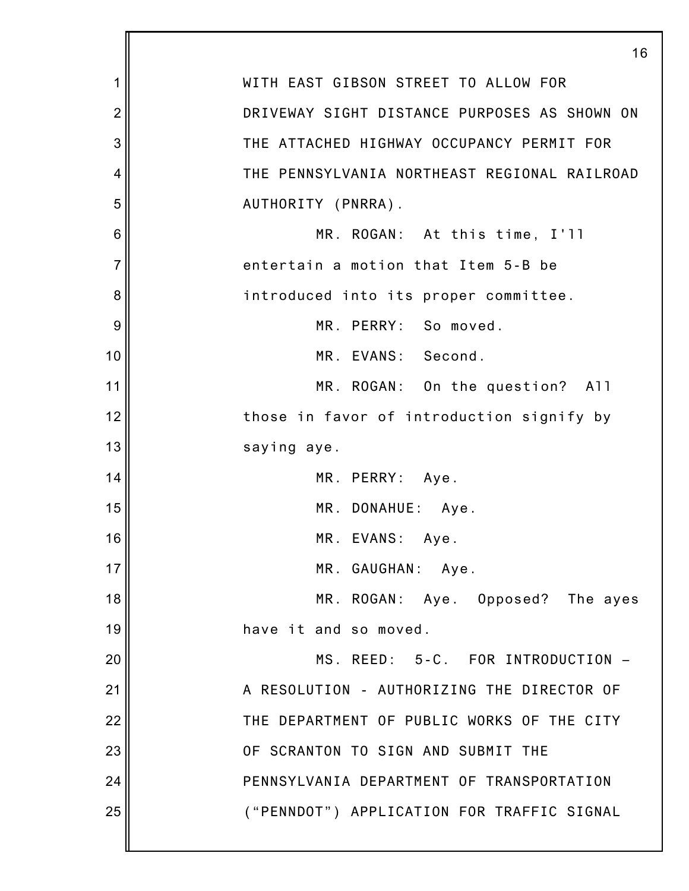|                | 16                                           |
|----------------|----------------------------------------------|
| 1              | WITH EAST GIBSON STREET TO ALLOW FOR         |
| $\overline{c}$ | DRIVEWAY SIGHT DISTANCE PURPOSES AS SHOWN ON |
| 3              | THE ATTACHED HIGHWAY OCCUPANCY PERMIT FOR    |
| 4              | THE PENNSYLVANIA NORTHEAST REGIONAL RAILROAD |
| 5              | AUTHORITY (PNRRA).                           |
| 6              | MR. ROGAN: At this time, I'll                |
| $\overline{7}$ | entertain a motion that Item 5-B be          |
| 8              | introduced into its proper committee.        |
| 9              | MR. PERRY: So moved.                         |
| 10             | MR. EVANS: Second.                           |
| 11             | MR. ROGAN: On the question? All              |
| 12             | those in favor of introduction signify by    |
| 13             | saying aye.                                  |
| 14             | MR. PERRY: Aye.                              |
| 15             | MR. DONAHUE: Aye.                            |
| 16             | MR. EVANS: Aye.                              |
| 17             | MR. GAUGHAN: Aye.                            |
| 18             | MR. ROGAN: Aye. Opposed? The ayes            |
| 19             | have it and so moved.                        |
| 20             | MS. REED: 5-C. FOR INTRODUCTION -            |
| 21             | A RESOLUTION - AUTHORIZING THE DIRECTOR OF   |
| 22             | THE DEPARTMENT OF PUBLIC WORKS OF THE CITY   |
| 23             | OF SCRANTON TO SIGN AND SUBMIT THE           |
| 24             | PENNSYLVANIA DEPARTMENT OF TRANSPORTATION    |
| 25             | ("PENNDOT") APPLICATION FOR TRAFFIC SIGNAL   |
|                |                                              |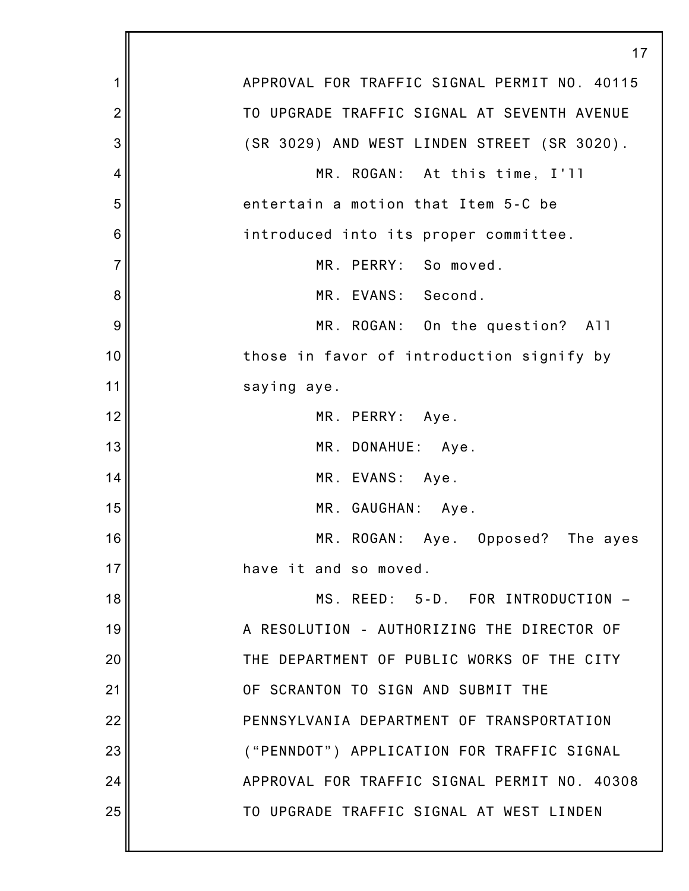|                | 17                                           |
|----------------|----------------------------------------------|
| 1              | APPROVAL FOR TRAFFIC SIGNAL PERMIT NO. 40115 |
| $\overline{2}$ | TO UPGRADE TRAFFIC SIGNAL AT SEVENTH AVENUE  |
| 3              | (SR 3029) AND WEST LINDEN STREET (SR 3020).  |
| 4              | MR. ROGAN: At this time, I'll                |
| 5              | entertain a motion that Item 5-C be          |
| 6              | introduced into its proper committee.        |
| $\overline{7}$ | MR. PERRY: So moved.                         |
| 8              | MR. EVANS: Second.                           |
| 9              | MR. ROGAN: On the question? All              |
| 10             | those in favor of introduction signify by    |
| 11             | saying aye.                                  |
| 12             | MR. PERRY: Aye.                              |
| 13             | MR. DONAHUE: Aye.                            |
| 14             | MR. EVANS: Aye.                              |
| 15             | MR. GAUGHAN: Aye.                            |
| 16             | MR. ROGAN: Aye. Opposed? The ayes            |
| 17             | have it and so moved.                        |
| 18             | MS. REED: 5-D. FOR INTRODUCTION -            |
| 19             | A RESOLUTION - AUTHORIZING THE DIRECTOR OF   |
| 20             | THE DEPARTMENT OF PUBLIC WORKS OF THE CITY   |
| 21             | OF SCRANTON TO SIGN AND SUBMIT THE           |
| 22             | PENNSYLVANIA DEPARTMENT OF TRANSPORTATION    |
| 23             | ("PENNDOT") APPLICATION FOR TRAFFIC SIGNAL   |
| 24             | APPROVAL FOR TRAFFIC SIGNAL PERMIT NO. 40308 |
| 25             | TO UPGRADE TRAFFIC SIGNAL AT WEST LINDEN     |
|                |                                              |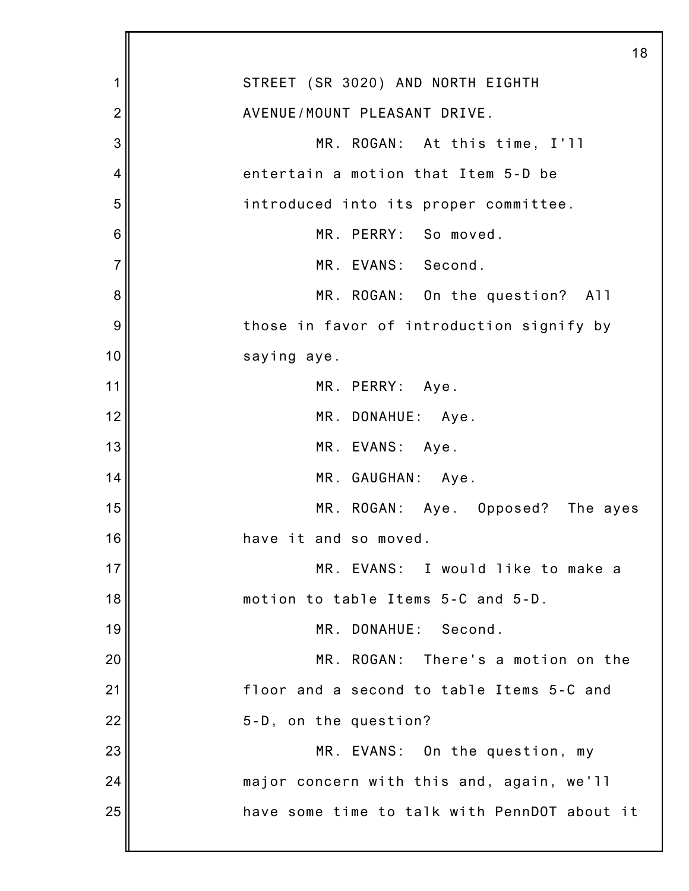|                | 18                                           |
|----------------|----------------------------------------------|
| 1              | STREET (SR 3020) AND NORTH EIGHTH            |
| $\overline{2}$ | AVENUE/MOUNT PLEASANT DRIVE.                 |
| 3              | MR. ROGAN: At this time, I'll                |
| 4              | entertain a motion that Item 5-D be          |
| 5              | introduced into its proper committee.        |
| 6              | MR. PERRY: So moved.                         |
| $\overline{7}$ | MR. EVANS: Second.                           |
| 8              | MR. ROGAN: On the question? All              |
| 9              | those in favor of introduction signify by    |
| 10             | saying aye.                                  |
| 11             | MR. PERRY: Aye.                              |
| 12             | MR. DONAHUE: Aye.                            |
| 13             | MR. EVANS: Aye.                              |
| 14             | MR. GAUGHAN: Aye.                            |
| 15             | MR. ROGAN: Aye. Opposed? The ayes            |
| 16             | have it and so moved.                        |
| 17             | MR. EVANS: I would like to make a            |
| 18             | motion to table Items 5-C and 5-D.           |
| 19             | MR. DONAHUE: Second.                         |
| 20             | MR. ROGAN: There's a motion on the           |
| 21             | floor and a second to table Items 5-C and    |
| 22             | 5-D, on the question?                        |
| 23             | MR. EVANS: On the question, my               |
| 24             | major concern with this and, again, we'll    |
| 25             | have some time to talk with PennDOT about it |
|                |                                              |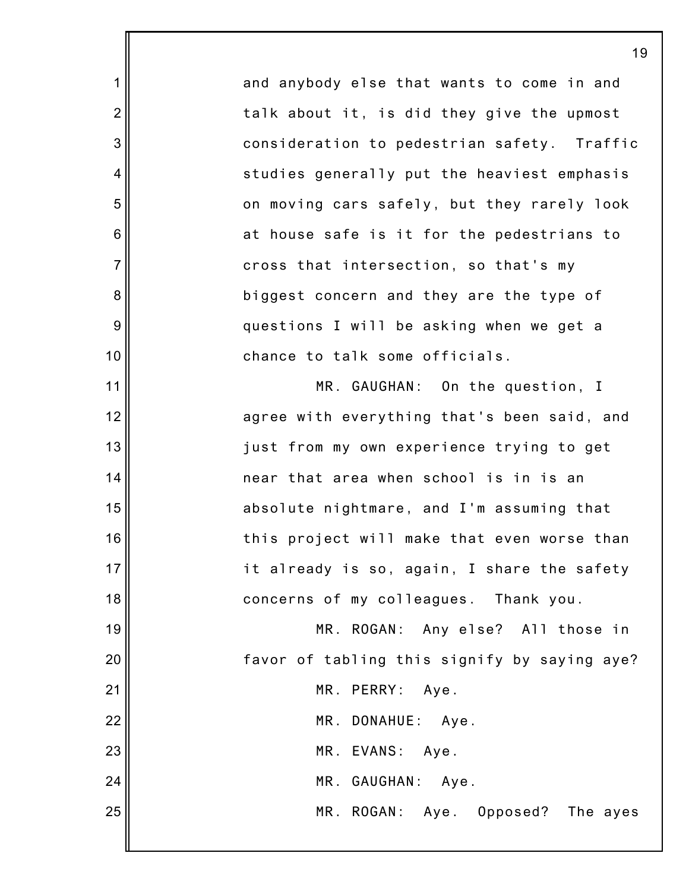and anybody else that wants to come in and talk about it, is did they give the upmost consideration to pedestrian safety. Traffic studies generally put the heaviest emphasis on moving cars safely, but they rarely look at house safe is it for the pedestrians to cross that intersection, so that's my biggest concern and they are the type of questions I will be asking when we get a chance to talk some officials.

1

2

3

4

5

6

7

8

9

10

11

12

13

14

15

16

17

18

MR. GAUGHAN: On the question, I agree with everything that's been said, and just from my own experience trying to get near that area when school is in is an absolute nightmare, and I'm assuming that this project will make that even worse than it already is so, again, I share the safety concerns of my colleagues. Thank you.

19 20 21 22 23 24 25 MR. ROGAN: Any else? All those in favor of tabling this signify by saying aye? MR. PERRY: Aye. MR. DONAHUE: Aye. MR. EVANS: Aye. MR. GAUGHAN: Aye. MR. ROGAN: Aye. Opposed? The ayes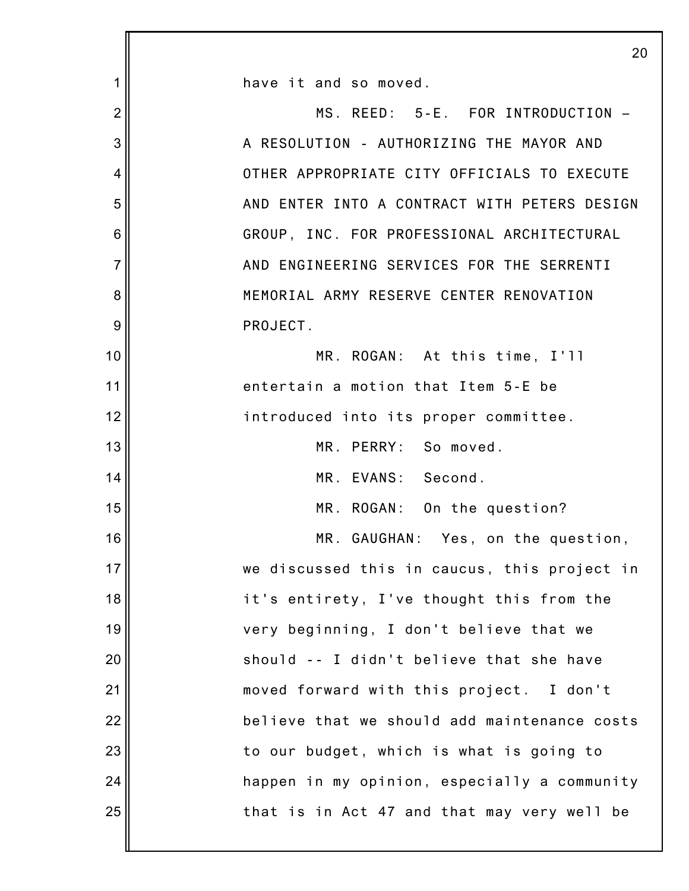|                | 20                                           |
|----------------|----------------------------------------------|
| 1              | have it and so moved.                        |
| $\overline{2}$ | MS. REED: 5-E. FOR INTRODUCTION -            |
| 3              | A RESOLUTION - AUTHORIZING THE MAYOR AND     |
| 4              | OTHER APPROPRIATE CITY OFFICIALS TO EXECUTE  |
| 5              | AND ENTER INTO A CONTRACT WITH PETERS DESIGN |
| 6              | GROUP, INC. FOR PROFESSIONAL ARCHITECTURAL   |
| $\overline{7}$ | AND ENGINEERING SERVICES FOR THE SERRENTI    |
| 8              | MEMORIAL ARMY RESERVE CENTER RENOVATION      |
| 9              | PROJECT.                                     |
| 10             | MR. ROGAN: At this time, I'll                |
| 11             | entertain a motion that Item 5-E be          |
| 12             | introduced into its proper committee.        |
| 13             | MR. PERRY: So moved.                         |
| 14             | MR. EVANS: Second.                           |
| 15             | MR. ROGAN: On the question?                  |
| 16             | MR. GAUGHAN: Yes, on the question,           |
| 17             | we discussed this in caucus, this project in |
| 18             | it's entirety, I've thought this from the    |
| 19             | very beginning, I don't believe that we      |
| 20             | should -- I didn't believe that she have     |
| 21             | moved forward with this project. I don't     |
| 22             | believe that we should add maintenance costs |
| 23             | to our budget, which is what is going to     |
| 24             | happen in my opinion, especially a community |
| 25             | that is in Act 47 and that may very well be  |
|                |                                              |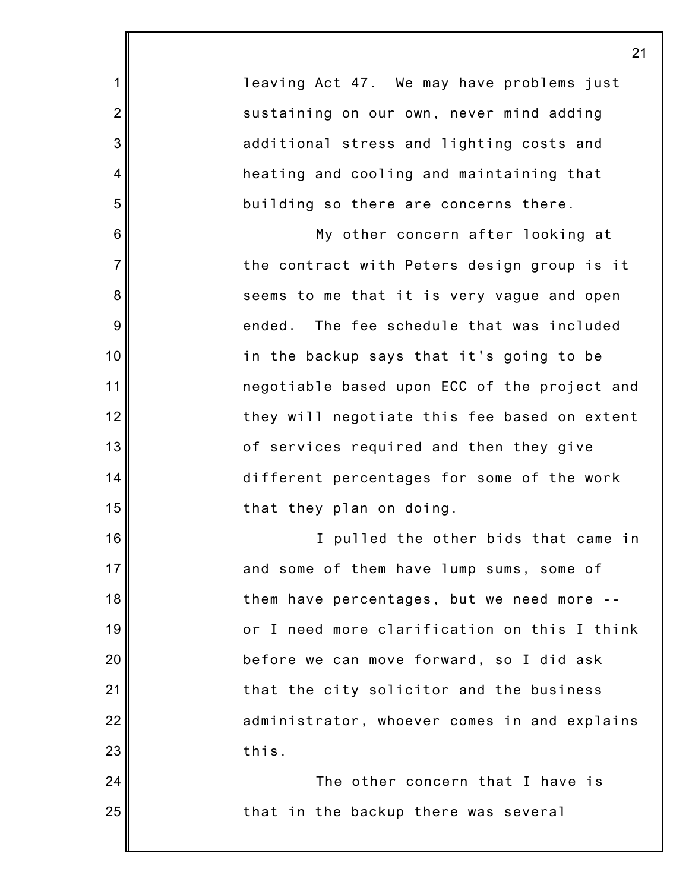|                | 21                                           |
|----------------|----------------------------------------------|
| 1              | leaving Act 47. We may have problems just    |
| $\overline{2}$ | sustaining on our own, never mind adding     |
| 3              | additional stress and lighting costs and     |
| 4              | heating and cooling and maintaining that     |
| 5              | building so there are concerns there.        |
| 6              | My other concern after looking at            |
| $\overline{7}$ | the contract with Peters design group is it  |
| 8              | seems to me that it is very vague and open   |
| 9              | ended. The fee schedule that was included    |
| 10             | in the backup says that it's going to be     |
| 11             | negotiable based upon ECC of the project and |
| 12             | they will negotiate this fee based on extent |
| 13             | of services required and then they give      |
| 14             | different percentages for some of the work   |
| 15             | that they plan on doing.                     |
| 16             | I pulled the other bids that came in         |
| 17             | and some of them have lump sums, some of     |
| 18             | them have percentages, but we need more --   |
| 19             | or I need more clarification on this I think |
| 20             | before we can move forward, so I did ask     |
| 21             | that the city solicitor and the business     |
| 22             | administrator, whoever comes in and explains |
| 23             | this.                                        |
| 24             | The other concern that I have is             |
| 25             | that in the backup there was several         |
|                |                                              |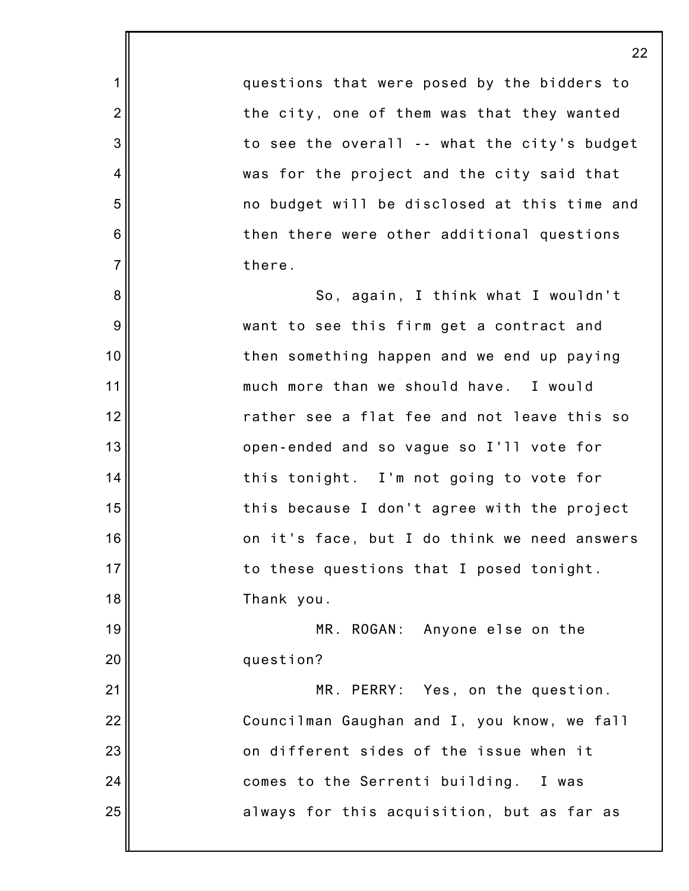questions that were posed by the bidders to the city, one of them was that they wanted to see the overall -- what the city's budget was for the project and the city said that no budget will be disclosed at this time and then there were other additional questions there.

1

2

3

4

5

6

7

8

9

10

11

12

13

14

15

16

17

18

21

22

23

24

25

So, again, I think what I wouldn't want to see this firm get a contract and then something happen and we end up paying much more than we should have. I would rather see a flat fee and not leave this so open-ended and so vague so I'll vote for this tonight. I'm not going to vote for this because I don't agree with the project on it's face, but I do think we need answers to these questions that I posed tonight. Thank you.

19 20 MR. ROGAN: Anyone else on the question?

MR. PERRY: Yes, on the question. Councilman Gaughan and I, you know, we fall on different sides of the issue when it comes to the Serrenti building. I was always for this acquisition, but as far as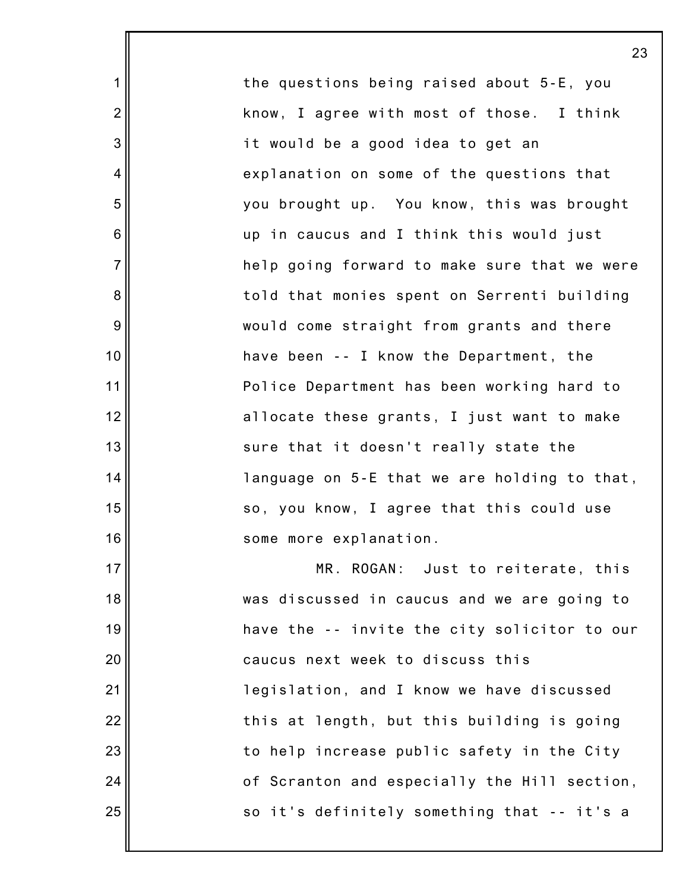the questions being raised about 5-E, you know, I agree with most of those. I think it would be a good idea to get an explanation on some of the questions that you brought up. You know, this was brought up in caucus and I think this would just help going forward to make sure that we were told that monies spent on Serrenti building would come straight from grants and there have been -- I know the Department, the Police Department has been working hard to allocate these grants, I just want to make sure that it doesn't really state the language on 5-E that we are holding to that, so, you know, I agree that this could use some more explanation. MR. ROGAN: Just to reiterate, this

1

2

3

4

5

6

7

8

9

10

11

12

13

14

15

16

17

18

19

20

21

22

23

24

25

was discussed in caucus and we are going to have the -- invite the city solicitor to our caucus next week to discuss this legislation, and I know we have discussed this at length, but this building is going to help increase public safety in the City of Scranton and especially the Hill section, so it's definitely something that -- it's a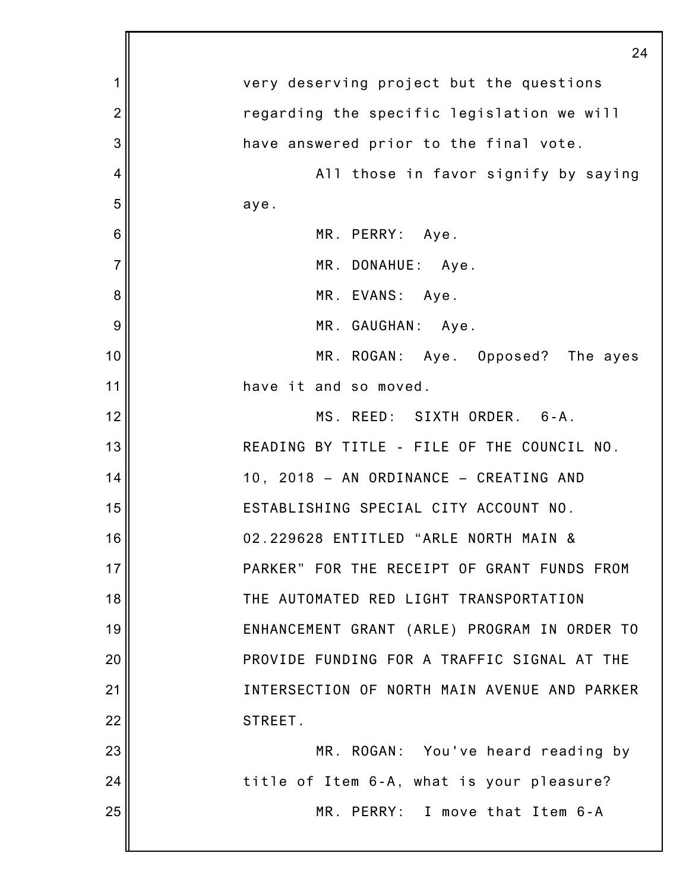|                | 24                                           |
|----------------|----------------------------------------------|
| 1              | very deserving project but the questions     |
| $\overline{2}$ | regarding the specific legislation we will   |
| 3              | have answered prior to the final vote.       |
| 4              | All those in favor signify by saying         |
| 5              | aye.                                         |
| 6              | MR. PERRY: Aye.                              |
| $\overline{7}$ | MR. DONAHUE: Aye.                            |
| 8              | MR. EVANS: Aye.                              |
| 9              | MR. GAUGHAN: Aye.                            |
| 10             | MR. ROGAN: Aye. Opposed? The ayes            |
| 11             | have it and so moved.                        |
| 12             | MS. REED: SIXTH ORDER. 6-A.                  |
| 13             | READING BY TITLE - FILE OF THE COUNCIL NO.   |
| 14             | 10, 2018 - AN ORDINANCE - CREATING AND       |
| 15             | ESTABLISHING SPECIAL CITY ACCOUNT NO.        |
| 16             | 02.229628 ENTITLED "ARLE NORTH MAIN &        |
| 17             | PARKER" FOR THE RECEIPT OF GRANT FUNDS FROM  |
| 18             | THE AUTOMATED RED LIGHT TRANSPORTATION       |
| 19             | ENHANCEMENT GRANT (ARLE) PROGRAM IN ORDER TO |
| 20             | PROVIDE FUNDING FOR A TRAFFIC SIGNAL AT THE  |
| 21             | INTERSECTION OF NORTH MAIN AVENUE AND PARKER |
| 22             | STREET.                                      |
| 23             | MR. ROGAN: You've heard reading by           |
| 24             | title of Item 6-A, what is your pleasure?    |
| 25             | MR. PERRY: I move that Item 6-A              |
|                |                                              |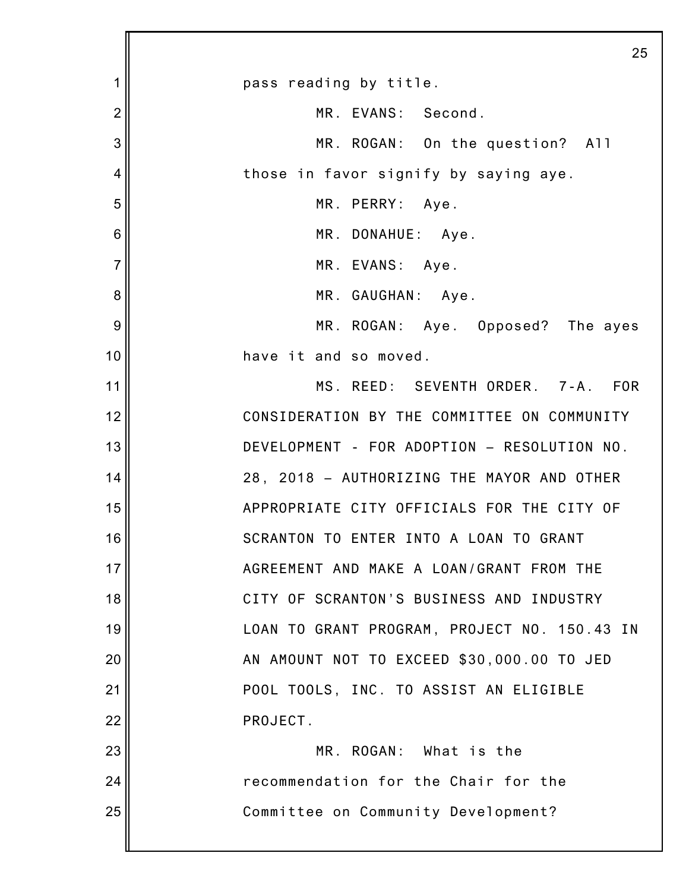|                | 25                                           |
|----------------|----------------------------------------------|
| 1              | pass reading by title.                       |
| $\overline{2}$ | MR. EVANS: Second.                           |
| 3              | MR. ROGAN: On the question? All              |
| 4              | those in favor signify by saying aye.        |
| 5              | MR. PERRY: Aye.                              |
| 6              | MR. DONAHUE: Aye.                            |
| $\overline{7}$ | MR. EVANS: Aye.                              |
| 8              | MR. GAUGHAN: Aye.                            |
| 9              | MR. ROGAN: Aye. Opposed? The ayes            |
| 10             | have it and so moved.                        |
| 11             | MS. REED: SEVENTH ORDER. 7-A. FOR            |
| 12             | CONSIDERATION BY THE COMMITTEE ON COMMUNITY  |
| 13             | DEVELOPMENT - FOR ADOPTION - RESOLUTION NO.  |
| 14             | 28, 2018 - AUTHORIZING THE MAYOR AND OTHER   |
| 15             | APPROPRIATE CITY OFFICIALS FOR THE CITY OF   |
| 16             | SCRANTON TO ENTER INTO A LOAN TO GRANT       |
| 17             | AGREEMENT AND MAKE A LOAN/GRANT FROM THE     |
| 18             | CITY OF SCRANTON'S BUSINESS AND INDUSTRY     |
| 19             | LOAN TO GRANT PROGRAM, PROJECT NO. 150.43 IN |
| 20             | AN AMOUNT NOT TO EXCEED \$30,000.00 TO JED   |
| 21             | POOL TOOLS, INC. TO ASSIST AN ELIGIBLE       |
| 22             | PROJECT.                                     |
| 23             | MR. ROGAN: What is the                       |
| 24             | recommendation for the Chair for the         |
| 25             | Committee on Community Development?          |
|                |                                              |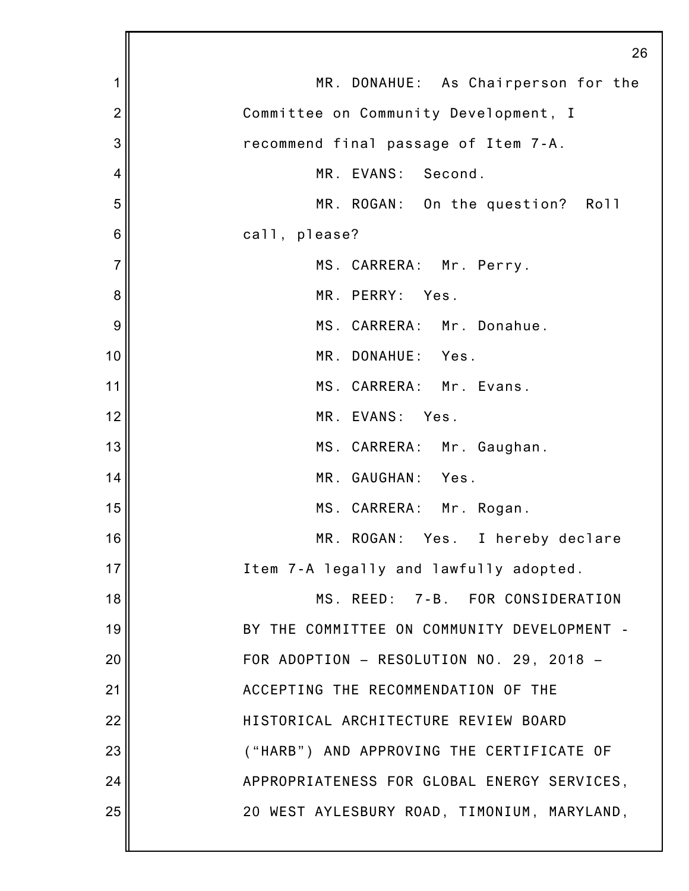|                | 26                                          |
|----------------|---------------------------------------------|
| 1              | MR. DONAHUE: As Chairperson for the         |
| $\overline{2}$ | Committee on Community Development, I       |
| 3              | recommend final passage of Item 7-A.        |
| 4              | MR. EVANS: Second.                          |
| 5              | MR. ROGAN: On the question? Roll            |
| 6              | call, please?                               |
| $\overline{7}$ | MS. CARRERA: Mr. Perry.                     |
| 8              | MR. PERRY: Yes.                             |
| 9              | MS. CARRERA: Mr. Donahue.                   |
| 10             | MR. DONAHUE: Yes.                           |
| 11             | MS. CARRERA: Mr. Evans.                     |
| 12             | MR. EVANS: Yes.                             |
| 13             | MS. CARRERA: Mr. Gaughan.                   |
| 14             | MR. GAUGHAN: Yes.                           |
| 15             | MS. CARRERA: Mr. Rogan.                     |
| 16             | MR. ROGAN: Yes. I hereby declare            |
| 17             | Item 7-A legally and lawfully adopted.      |
| 18             | MS. REED: 7-B. FOR CONSIDERATION            |
| 19             | BY THE COMMITTEE ON COMMUNITY DEVELOPMENT - |
| 20             | FOR ADOPTION - RESOLUTION NO. 29, 2018 -    |
| 21             | ACCEPTING THE RECOMMENDATION OF THE         |
| 22             | HISTORICAL ARCHITECTURE REVIEW BOARD        |
| 23             | ("HARB") AND APPROVING THE CERTIFICATE OF   |
| 24             | APPROPRIATENESS FOR GLOBAL ENERGY SERVICES, |
| 25             | 20 WEST AYLESBURY ROAD, TIMONIUM, MARYLAND, |
|                |                                             |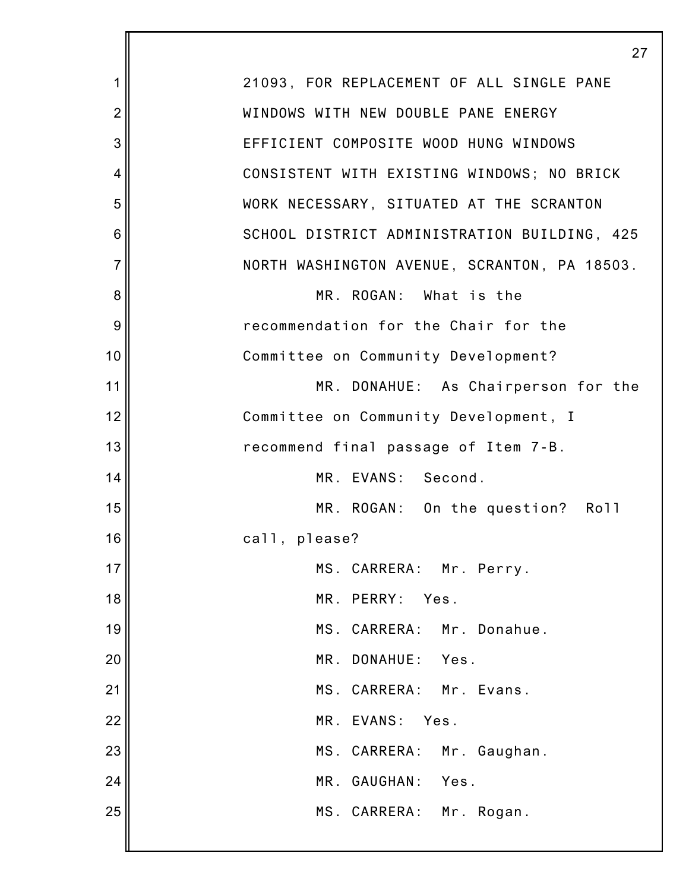|                | 27                                           |
|----------------|----------------------------------------------|
| 1              | 21093, FOR REPLACEMENT OF ALL SINGLE PANE    |
| $\overline{2}$ | WINDOWS WITH NEW DOUBLE PANE ENERGY          |
| 3              | EFFICIENT COMPOSITE WOOD HUNG WINDOWS        |
| 4              | CONSISTENT WITH EXISTING WINDOWS; NO BRICK   |
| 5              | WORK NECESSARY, SITUATED AT THE SCRANTON     |
| 6              | SCHOOL DISTRICT ADMINISTRATION BUILDING, 425 |
| $\overline{7}$ | NORTH WASHINGTON AVENUE, SCRANTON, PA 18503. |
| 8              | MR. ROGAN: What is the                       |
| 9              | recommendation for the Chair for the         |
| 10             | Committee on Community Development?          |
| 11             | MR. DONAHUE: As Chairperson for the          |
| 12             | Committee on Community Development, I        |
| 13             | recommend final passage of Item 7-B.         |
| 14             | MR. EVANS: Second.                           |
| 15             | MR. ROGAN: On the question? Roll             |
| 16             | call, please?                                |
| 17             | MS. CARRERA: Mr. Perry.                      |
| 18             | MR. PERRY: Yes.                              |
| 19             | MS. CARRERA: Mr. Donahue.                    |
| 20             | MR. DONAHUE: Yes.                            |
| 21             | MS. CARRERA: Mr. Evans.                      |
| 22             | MR. EVANS: Yes.                              |
| 23             | MS. CARRERA: Mr. Gaughan.                    |
| 24             | MR. GAUGHAN: Yes.                            |
| 25             | MS. CARRERA: Mr. Rogan.                      |
|                |                                              |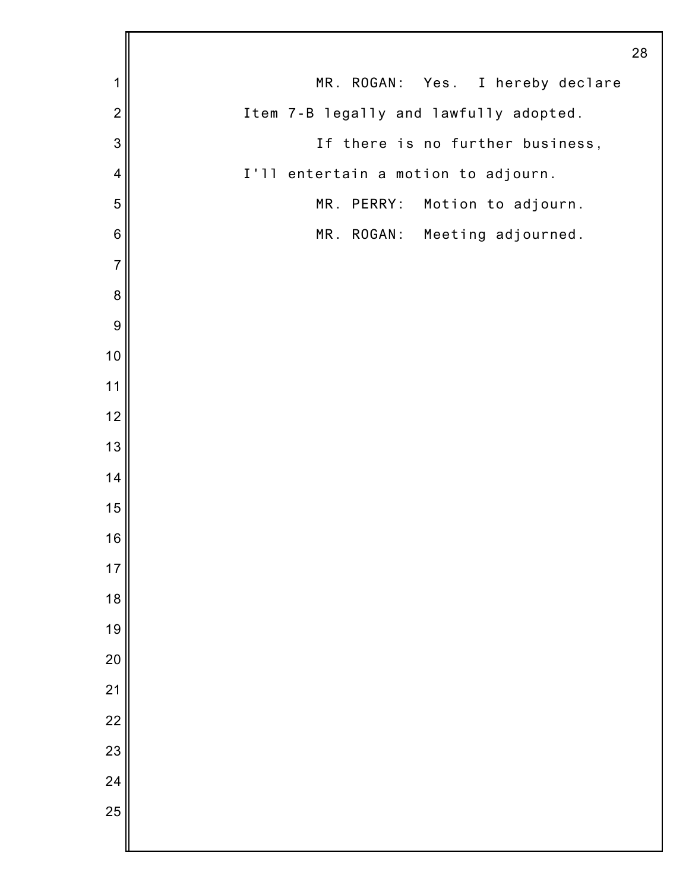|                          |                                        | 28 |
|--------------------------|----------------------------------------|----|
| 1                        | MR. ROGAN: Yes. I hereby declare       |    |
| $\overline{2}$           | Item 7-B legally and lawfully adopted. |    |
| 3                        | If there is no further business,       |    |
| $\overline{\mathcal{A}}$ | I'll entertain a motion to adjourn.    |    |
| 5                        | MR. PERRY: Motion to adjourn.          |    |
| $\,6$                    | MR. ROGAN: Meeting adjourned.          |    |
| $\overline{7}$           |                                        |    |
| $\bf 8$                  |                                        |    |
| $\boldsymbol{9}$         |                                        |    |
| $10$                     |                                        |    |
| 11                       |                                        |    |
| 12                       |                                        |    |
| 13                       |                                        |    |
| 14                       |                                        |    |
| 15                       |                                        |    |
| 16                       |                                        |    |
| 17                       |                                        |    |
| 18                       |                                        |    |
| 19                       |                                        |    |
| 20                       |                                        |    |
| $\overline{21}$          |                                        |    |
| 22                       |                                        |    |
| 23                       |                                        |    |
| 24                       |                                        |    |
| 25                       |                                        |    |
|                          |                                        |    |